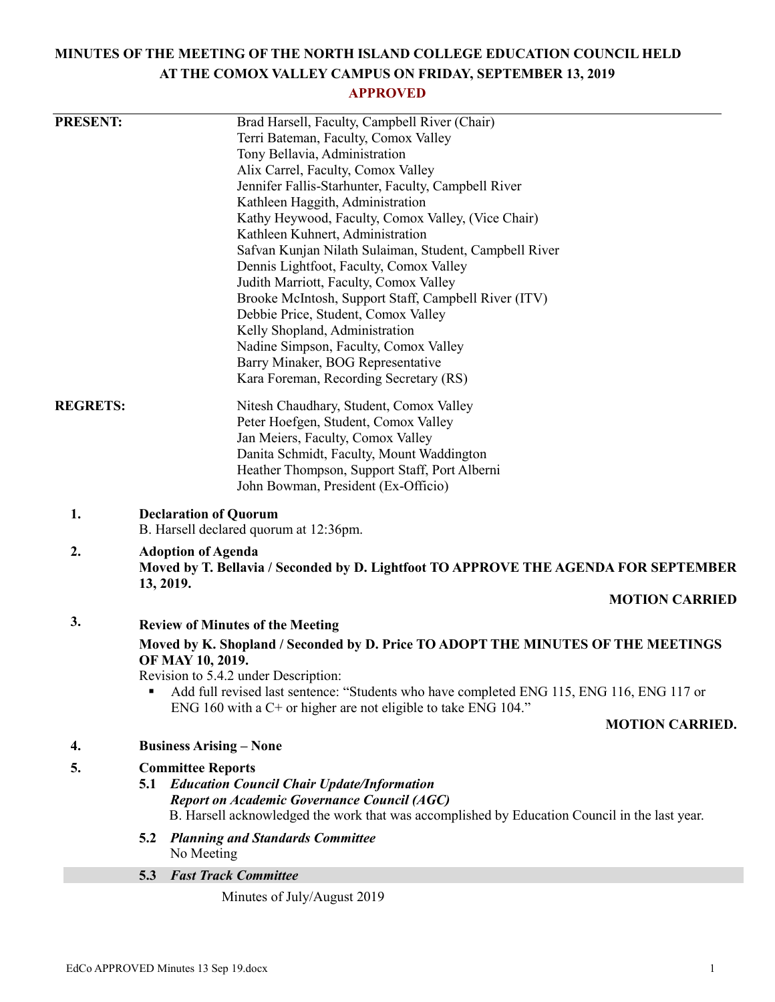# **MINUTES OF THE MEETING OF THE NORTH ISLAND COLLEGE EDUCATION COUNCIL HELD AT THE COMOX VALLEY CAMPUS ON FRIDAY, SEPTEMBER 13, 2019**

# **APPROVED**

| <b>PRESENT:</b> | Brad Harsell, Faculty, Campbell River (Chair)                                                                                 |
|-----------------|-------------------------------------------------------------------------------------------------------------------------------|
|                 | Terri Bateman, Faculty, Comox Valley                                                                                          |
|                 | Tony Bellavia, Administration                                                                                                 |
|                 | Alix Carrel, Faculty, Comox Valley                                                                                            |
|                 | Jennifer Fallis-Starhunter, Faculty, Campbell River                                                                           |
|                 | Kathleen Haggith, Administration                                                                                              |
|                 | Kathy Heywood, Faculty, Comox Valley, (Vice Chair)                                                                            |
|                 | Kathleen Kuhnert, Administration                                                                                              |
|                 | Safvan Kunjan Nilath Sulaiman, Student, Campbell River                                                                        |
|                 | Dennis Lightfoot, Faculty, Comox Valley                                                                                       |
|                 | Judith Marriott, Faculty, Comox Valley                                                                                        |
|                 | Brooke McIntosh, Support Staff, Campbell River (ITV)                                                                          |
|                 | Debbie Price, Student, Comox Valley                                                                                           |
|                 | Kelly Shopland, Administration                                                                                                |
|                 | Nadine Simpson, Faculty, Comox Valley                                                                                         |
|                 | Barry Minaker, BOG Representative                                                                                             |
|                 | Kara Foreman, Recording Secretary (RS)                                                                                        |
| <b>REGRETS:</b> | Nitesh Chaudhary, Student, Comox Valley                                                                                       |
|                 | Peter Hoefgen, Student, Comox Valley                                                                                          |
|                 | Jan Meiers, Faculty, Comox Valley                                                                                             |
|                 | Danita Schmidt, Faculty, Mount Waddington                                                                                     |
|                 | Heather Thompson, Support Staff, Port Alberni                                                                                 |
|                 | John Bowman, President (Ex-Officio)                                                                                           |
| 1.              | <b>Declaration of Quorum</b><br>B. Harsell declared quorum at 12:36pm.                                                        |
|                 |                                                                                                                               |
| 2.              | <b>Adoption of Agenda</b><br>Moved by T. Bellavia / Seconded by D. Lightfoot TO APPROVE THE AGENDA FOR SEPTEMBER<br>13, 2019. |
|                 | <b>MOTION CARRIED</b>                                                                                                         |
| 3.              | <b>Review of Minutes of the Meeting</b>                                                                                       |
|                 | Moved by K. Shopland / Seconded by D. Price TO ADOPT THE MINUTES OF THE MEETINGS                                              |
|                 | OF MAY 10, 2019.                                                                                                              |
|                 | Revision to 5.4.2 under Description:                                                                                          |
|                 | Add full revised last sentence: "Students who have completed ENG 115, ENG 116, ENG 117 or<br>٠                                |
|                 | ENG 160 with a $C$ + or higher are not eligible to take ENG 104."                                                             |
|                 | <b>MOTION CARRIED.</b>                                                                                                        |
| 4.              | <b>Business Arising – None</b>                                                                                                |
| 5.              | <b>Committee Reports</b>                                                                                                      |
|                 | <b>5.1 Education Council Chair Update/Information</b>                                                                         |
|                 | <b>Report on Academic Governance Council (AGC)</b>                                                                            |
|                 | B. Harsell acknowledged the work that was accomplished by Education Council in the last year.                                 |
|                 | <b>Planning and Standards Committee</b><br>5.2                                                                                |
|                 | No Meeting                                                                                                                    |
|                 | <b>Fast Track Committee</b><br>5.3                                                                                            |
|                 |                                                                                                                               |

Minutes of July/August 2019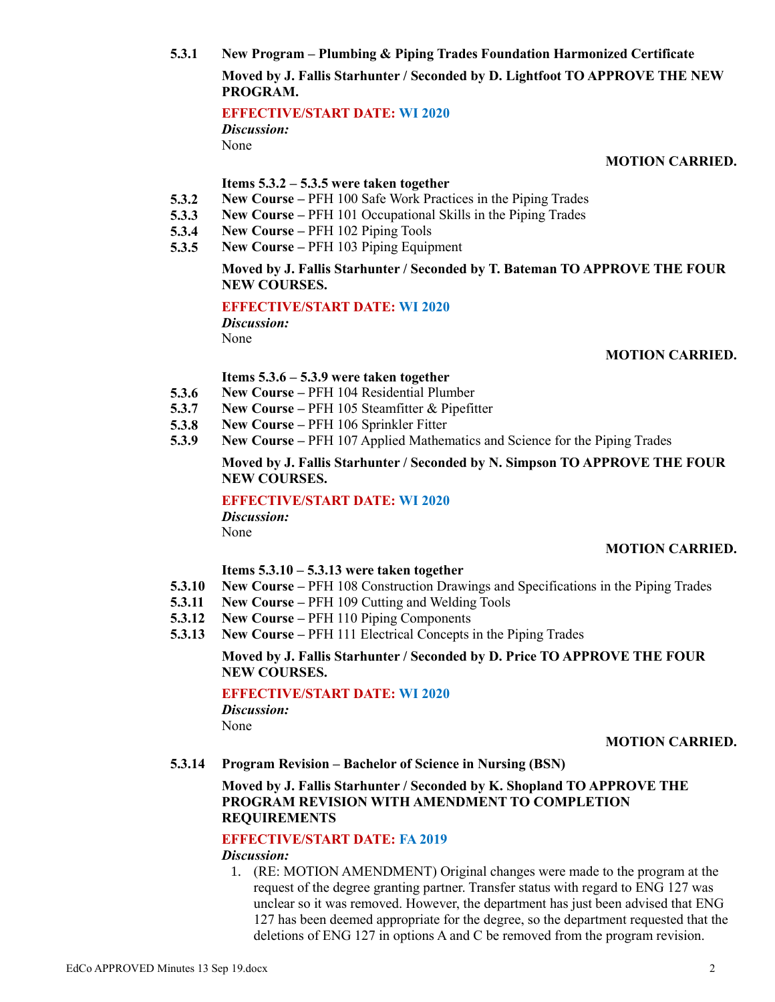**5.3.1 New Program – Plumbing & Piping Trades Foundation Harmonized Certificate Moved by J. Fallis Starhunter / Seconded by D. Lightfoot TO APPROVE THE NEW PROGRAM.**

**EFFECTIVE/START DATE: WI 2020**

*Discussion:* None

**MOTION CARRIED.**

#### **Items 5.3.2 – 5.3.5 were taken together**

- **5.3.2 New Course –** PFH 100 Safe Work Practices in the Piping Trades
- **5.3.3 New Course –** PFH 101 Occupational Skills in the Piping Trades
- **5.3.4 New Course –** PFH 102 Piping Tools
- **5.3.5 New Course –** PFH 103 Piping Equipment

### **Moved by J. Fallis Starhunter / Seconded by T. Bateman TO APPROVE THE FOUR NEW COURSES.**

# **EFFECTIVE/START DATE: WI 2020**

*Discussion:* None

### **MOTION CARRIED.**

#### **Items 5.3.6 – 5.3.9 were taken together**

- **5.3.6 New Course –** PFH 104 Residential Plumber
- **5.3.7 New Course –** PFH 105 Steamfitter & Pipefitter
- **5.3.8 New Course –** PFH 106 Sprinkler Fitter
- **5.3.9 New Course –** PFH 107 Applied Mathematics and Science for the Piping Trades

### **Moved by J. Fallis Starhunter / Seconded by N. Simpson TO APPROVE THE FOUR NEW COURSES.**

### **EFFECTIVE/START DATE: WI 2020**

*Discussion:* None

### **MOTION CARRIED.**

### **Items 5.3.10 – 5.3.13 were taken together**

- **5.3.10 New Course –** PFH 108 Construction Drawings and Specifications in the Piping Trades
- **5.3.11 New Course –** PFH 109 Cutting and Welding Tools
- **5.3.12 New Course –** PFH 110 Piping Components
- **5.3.13 New Course –** PFH 111 Electrical Concepts in the Piping Trades

### **Moved by J. Fallis Starhunter / Seconded by D. Price TO APPROVE THE FOUR NEW COURSES.**

### **EFFECTIVE/START DATE: WI 2020**

*Discussion:* None

### **MOTION CARRIED.**

**5.3.14 Program Revision – Bachelor of Science in Nursing (BSN)**

# **Moved by J. Fallis Starhunter / Seconded by K. Shopland TO APPROVE THE PROGRAM REVISION WITH AMENDMENT TO COMPLETION REQUIREMENTS**

### **EFFECTIVE/START DATE: FA 2019**

### *Discussion:*

1. (RE: MOTION AMENDMENT) Original changes were made to the program at the request of the degree granting partner. Transfer status with regard to ENG 127 was unclear so it was removed. However, the department has just been advised that ENG 127 has been deemed appropriate for the degree, so the department requested that the deletions of ENG 127 in options A and C be removed from the program revision.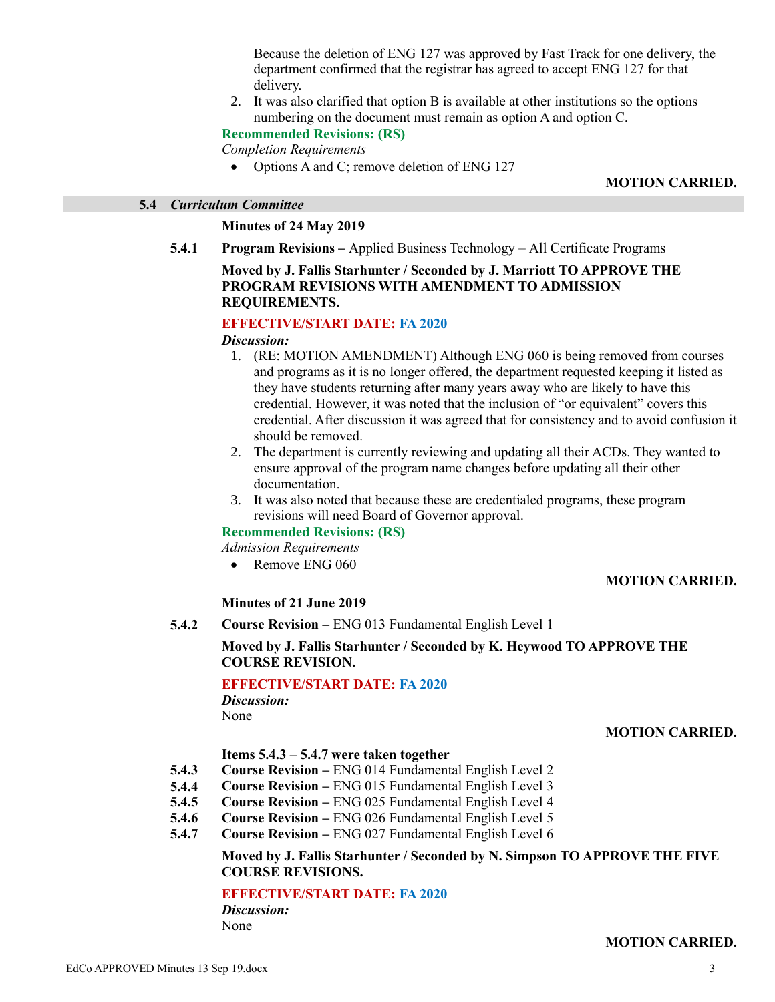Because the deletion of ENG 127 was approved by Fast Track for one delivery, the department confirmed that the registrar has agreed to accept ENG 127 for that delivery.

2. It was also clarified that option B is available at other institutions so the options numbering on the document must remain as option A and option C.

### **Recommended Revisions: (RS)**

*Completion Requirements*

• Options A and C; remove deletion of ENG 127

#### **MOTION CARRIED.**

#### **5.4** *Curriculum Committee*

#### **Minutes of 24 May 2019**

**5.4.1 Program Revisions –** Applied Business Technology – All Certificate Programs

### **Moved by J. Fallis Starhunter / Seconded by J. Marriott TO APPROVE THE PROGRAM REVISIONS WITH AMENDMENT TO ADMISSION REQUIREMENTS.**

#### **EFFECTIVE/START DATE: FA 2020**

#### *Discussion:*

- 1. (RE: MOTION AMENDMENT) Although ENG 060 is being removed from courses and programs as it is no longer offered, the department requested keeping it listed as they have students returning after many years away who are likely to have this credential. However, it was noted that the inclusion of "or equivalent" covers this credential. After discussion it was agreed that for consistency and to avoid confusion it should be removed.
- 2. The department is currently reviewing and updating all their ACDs. They wanted to ensure approval of the program name changes before updating all their other documentation.
- 3. It was also noted that because these are credentialed programs, these program revisions will need Board of Governor approval.

#### **Recommended Revisions: (RS)**

*Admission Requirements*

• Remove ENG 060

### **MOTION CARRIED.**

#### **Minutes of 21 June 2019**

#### **5.4.2 Course Revision –** ENG 013 Fundamental English Level 1

### **Moved by J. Fallis Starhunter / Seconded by K. Heywood TO APPROVE THE COURSE REVISION.**

#### **EFFECTIVE/START DATE: FA 2020**

*Discussion:* None

### **MOTION CARRIED.**

#### **Items 5.4.3 – 5.4.7 were taken together**

- **5.4.3 Course Revision –** ENG 014 Fundamental English Level 2
- **5.4.4 Course Revision –** ENG 015 Fundamental English Level 3
- **5.4.5 Course Revision –** ENG 025 Fundamental English Level 4
- **5.4.6 Course Revision –** ENG 026 Fundamental English Level 5
- **5.4.7 Course Revision –** ENG 027 Fundamental English Level 6

### **Moved by J. Fallis Starhunter / Seconded by N. Simpson TO APPROVE THE FIVE COURSE REVISIONS.**

#### **EFFECTIVE/START DATE: FA 2020**

*Discussion:* None

#### **MOTION CARRIED.**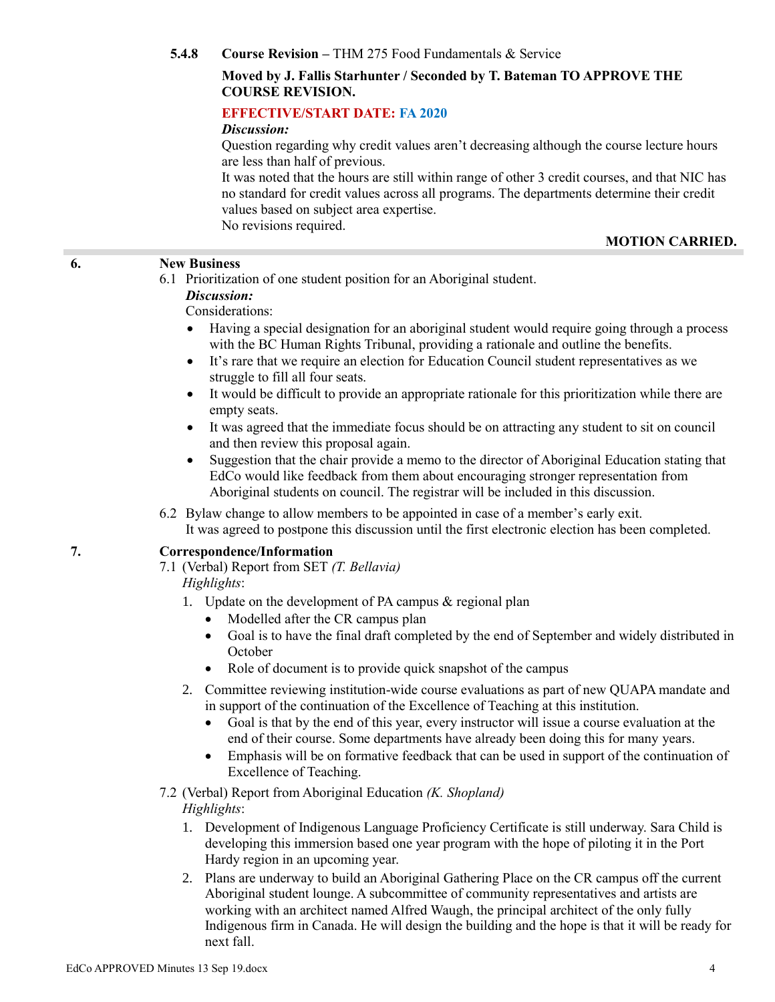**5.4.8 Course Revision –** THM 275 Food Fundamentals & Service

### **Moved by J. Fallis Starhunter / Seconded by T. Bateman TO APPROVE THE COURSE REVISION.**

### **EFFECTIVE/START DATE: FA 2020**

#### *Discussion:*

Question regarding why credit values aren't decreasing although the course lecture hours are less than half of previous.

It was noted that the hours are still within range of other 3 credit courses, and that NIC has no standard for credit values across all programs. The departments determine their credit values based on subject area expertise. No revisions required.

### **MOTION CARRIED.**

#### **6. New Business**

6.1 Prioritization of one student position for an Aboriginal student.

#### *Discussion:*

#### Considerations:

- Having a special designation for an aboriginal student would require going through a process with the BC Human Rights Tribunal, providing a rationale and outline the benefits.
- It's rare that we require an election for Education Council student representatives as we struggle to fill all four seats.
- It would be difficult to provide an appropriate rationale for this prioritization while there are empty seats.
- It was agreed that the immediate focus should be on attracting any student to sit on council and then review this proposal again.
- Suggestion that the chair provide a memo to the director of Aboriginal Education stating that EdCo would like feedback from them about encouraging stronger representation from Aboriginal students on council. The registrar will be included in this discussion.

### 6.2 Bylaw change to allow members to be appointed in case of a member's early exit. It was agreed to postpone this discussion until the first electronic election has been completed.

### **7. Correspondence/Information**

7.1 (Verbal) Report from SET *(T. Bellavia)*

# *Highlights*:

- 1. Update on the development of PA campus & regional plan
	- Modelled after the CR campus plan
	- Goal is to have the final draft completed by the end of September and widely distributed in October
	- Role of document is to provide quick snapshot of the campus
- 2. Committee reviewing institution-wide course evaluations as part of new QUAPA mandate and in support of the continuation of the Excellence of Teaching at this institution.
	- Goal is that by the end of this year, every instructor will issue a course evaluation at the end of their course. Some departments have already been doing this for many years.
	- Emphasis will be on formative feedback that can be used in support of the continuation of Excellence of Teaching.

#### 7.2 (Verbal) Report from Aboriginal Education *(K. Shopland) Highlights*:

- 1. Development of Indigenous Language Proficiency Certificate is still underway. Sara Child is developing this immersion based one year program with the hope of piloting it in the Port Hardy region in an upcoming year.
- 2. Plans are underway to build an Aboriginal Gathering Place on the CR campus off the current Aboriginal student lounge. A subcommittee of community representatives and artists are working with an architect named Alfred Waugh, the principal architect of the only fully Indigenous firm in Canada. He will design the building and the hope is that it will be ready for next fall.